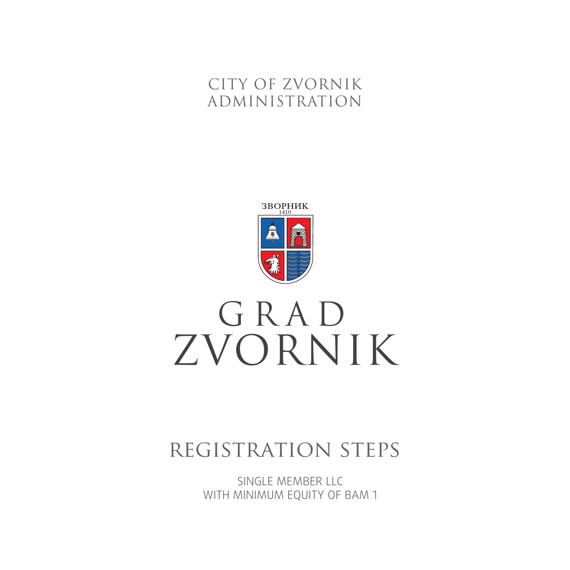# CITY OF ZVORNIK ADMINISTRATION



# ZVORNIK GRAD

# registration steps

SINGLE MEMBER LLC WITH MINIMUM EQUITY OF BAM 1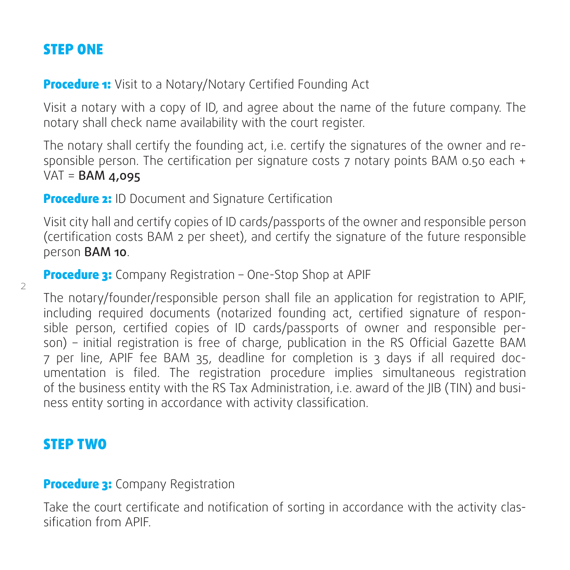# STEP ONE

**Procedure 1:** Visit to a Notary/Notary Certified Founding Act

Visit a notary with a copy of ID, and agree about the name of the future company. The notary shall check name availability with the court register.

The notary shall certify the founding act, i.e. certify the signatures of the owner and responsible person. The certification per signature costs 7 notary points BAM 0.50 each +  $VAT =$ **BAM 4,095** 

**Procedure 2:** ID Document and Signature Certification

Visit city hall and certify copies of ID cards/passports of the owner and responsible person (certification costs BAM 2 per sheet), and certify the signature of the future responsible person BAM 10.

**Procedure 3:** Company Registration - One-Stop Shop at APIF

The notary/founder/responsible person shall file an application for registration to APIF, including required documents (notarized founding act, certified signature of responsible person, certified copies of ID cards/passports of owner and responsible person) – initial registration is free of charge, publication in the RS Official Gazette BAM 7 per line, APIF fee BAM 35, deadline for completion is 3 days if all required documentation is filed. The registration procedure implies simultaneous registration of the business entity with the RS Tax Administration, i.e. award of the JIB (TIN) and business entity sorting in accordance with activity classification.

### STEP TWO

2

#### **Procedure 3:** Company Registration

Take the court certificate and notification of sorting in accordance with the activity classification from APIF.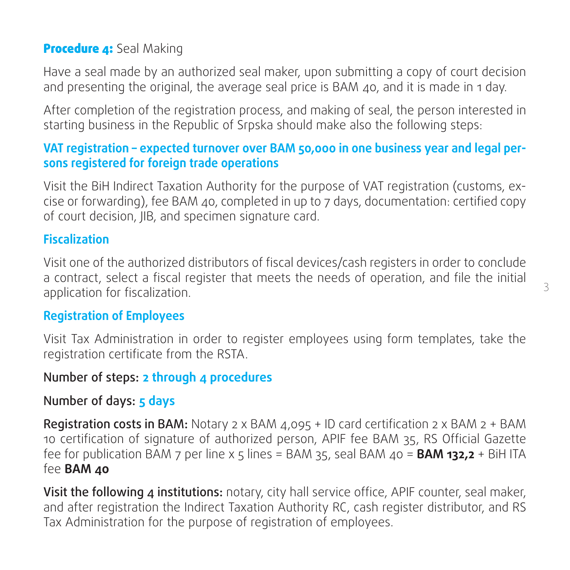#### Procedure 4: Seal Making

Have a seal made by an authorized seal maker, upon submitting a copy of court decision and presenting the original, the average seal price is BAM 40, and it is made in 1 day.

After completion of the registration process, and making of seal, the person interested in starting business in the Republic of Srpska should make also the following steps:

#### **VAT registration – expected turnover over BAM 50,000 in one business year and legal persons registered for foreign trade operations**

Visit the BiH Indirect Taxation Authority for the purpose of VAT registration (customs, excise or forwarding), fee BAM 40, completed in up to 7 days, documentation: certified copy of court decision, JIB, and specimen signature card.

#### **Fiscalization**

Visit one of the authorized distributors of fiscal devices/cash registers in order to conclude a contract, select a fiscal register that meets the needs of operation, and file the initial application for fiscalization.

#### **Registration of Employees**

Visit Tax Administration in order to register employees using form templates, take the registration certificate from the RSTA.

#### Number of steps: **2 through 4 procedures**

#### Number of days: **5 days**

**Registration costs in BAM:** Notary 2 x BAM  $4.095 + 1D$  card certification 2 x BAM 2 + BAM 10 certification of signature of authorized person, APIF fee BAM 35, RS Official Gazette fee for publication BAM 7 per line х 5 lines = BAM 35, seal BAM 40 = **BAM 132,2** + BiH ITA fee **BAM 40**

Visit the following 4 institutions: notary, city hall service office, APIF counter, seal maker, and after registration the Indirect Taxation Authority RC, cash register distributor, and RS Tax Administration for the purpose of registration of employees.